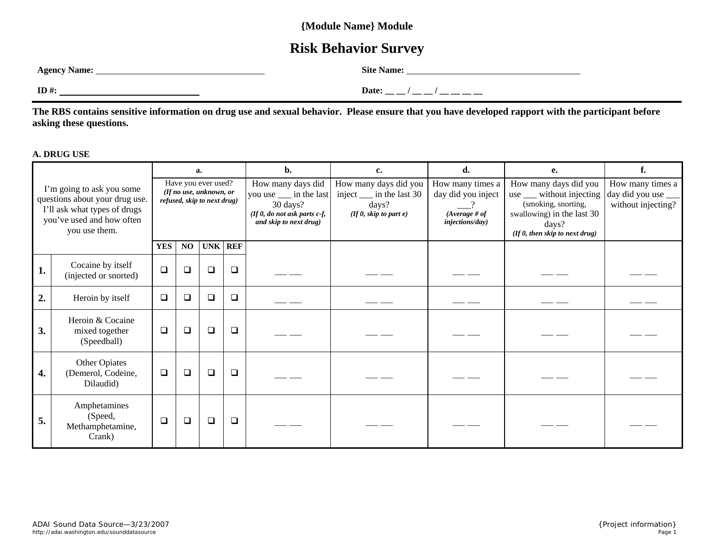### **{Module Name} Module**

## **Risk Behavior Survey**

| <b>Agency Name:</b> | Site<br>Name: |
|---------------------|---------------|
| ID#:                | Date:         |

**The RBS contains sensitive information on drug use and sexual behavior. Please ensure that you have developed rapport with the participant before asking these questions.** 

#### **A. DRUG USE**

|                                                                                                                                           |                                                       | a.                                                                            |        | b.     | c.      | d.                                                                                                                   | e.                                                                                                    | f.                                                                                    |                                                                                                                                                             |                                                           |
|-------------------------------------------------------------------------------------------------------------------------------------------|-------------------------------------------------------|-------------------------------------------------------------------------------|--------|--------|---------|----------------------------------------------------------------------------------------------------------------------|-------------------------------------------------------------------------------------------------------|---------------------------------------------------------------------------------------|-------------------------------------------------------------------------------------------------------------------------------------------------------------|-----------------------------------------------------------|
| I'm going to ask you some<br>questions about your drug use.<br>I'll ask what types of drugs<br>you've used and how often<br>you use them. |                                                       | Have you ever used?<br>(If no use, unknown, or<br>refused, skip to next drug) |        |        |         | How many days did<br>you use __ in the last<br>30 days?<br>(If $0$ , do not ask parts c-f,<br>and skip to next drug) | How many days did you<br>inject $\frac{ }{ }$ in the last 30<br>days?<br>(If $0$ , skip to part $e$ ) | How many times a<br>day did you inject<br>$(Average \# of$<br><i>injections/day</i> ) | How many days did you<br>use ___ without injecting<br>(smoking, snorting,<br>swallowing) in the last 30<br>days?<br>$($ If $0$ , then skip to next drug $)$ | How many times a<br>day did you use<br>without injecting? |
|                                                                                                                                           |                                                       | <b>YES</b>                                                                    | NO.    |        | UNK REF |                                                                                                                      |                                                                                                       |                                                                                       |                                                                                                                                                             |                                                           |
| 1.                                                                                                                                        | Cocaine by itself<br>(injected or snorted)            | $\Box$                                                                        | □      | $\Box$ | $\Box$  |                                                                                                                      |                                                                                                       |                                                                                       |                                                                                                                                                             |                                                           |
| 2.                                                                                                                                        | Heroin by itself                                      | $\Box$                                                                        | $\Box$ | $\Box$ | $\Box$  |                                                                                                                      |                                                                                                       |                                                                                       |                                                                                                                                                             |                                                           |
| 3.                                                                                                                                        | Heroin & Cocaine<br>mixed together<br>(Speedball)     | $\Box$                                                                        | $\Box$ | $\Box$ | $\Box$  |                                                                                                                      |                                                                                                       |                                                                                       |                                                                                                                                                             |                                                           |
| 4.                                                                                                                                        | Other Opiates<br>(Demerol, Codeine,<br>Dilaudid)      | $\Box$                                                                        | $\Box$ | $\Box$ | $\Box$  |                                                                                                                      |                                                                                                       |                                                                                       |                                                                                                                                                             |                                                           |
| 5.                                                                                                                                        | Amphetamines<br>(Speed,<br>Methamphetamine,<br>Crank) | $\Box$                                                                        | $\Box$ | $\Box$ | $\Box$  |                                                                                                                      |                                                                                                       |                                                                                       |                                                                                                                                                             |                                                           |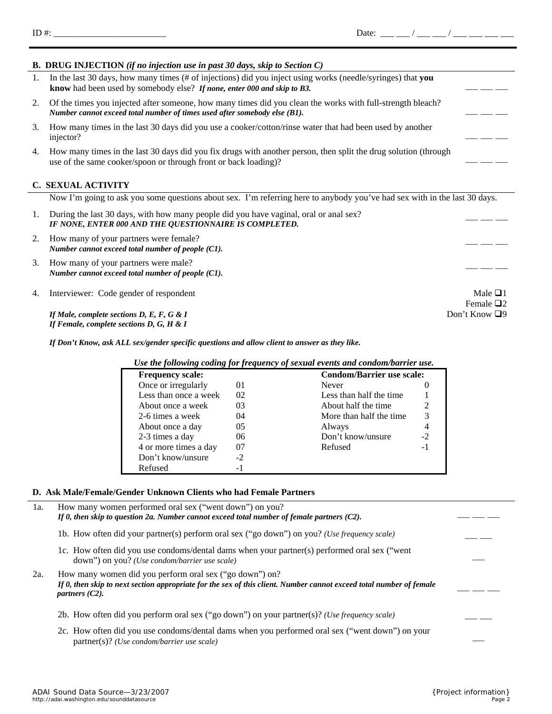*http://adai.washington.edu/sounddatasource Page 2* 

|    | In the last 30 days, how many times (# of injections) did you inject using works (needle/syringes) that you<br>know had been used by somebody else? If none, enter 000 and skip to B3.  |  |  |  |  |  |
|----|-----------------------------------------------------------------------------------------------------------------------------------------------------------------------------------------|--|--|--|--|--|
|    | Of the times you injected after someone, how many times did you clean the works with full-strength bleach?<br>Number cannot exceed total number of times used after somebody else (B1). |  |  |  |  |  |
| 3. | How many times in the last 30 days did you use a cooker/cotton/rinse water that had been used by another<br>injector?                                                                   |  |  |  |  |  |
| 4. | How many times in the last 30 days did you fix drugs with another person, then split the drug solution (through<br>use of the same cooker/spoon or through front or back loading)?      |  |  |  |  |  |
|    | <b>C. SEXUAL ACTIVITY</b>                                                                                                                                                               |  |  |  |  |  |
|    | Now I'm going to ask you some questions about sex. I'm referring here to anybody you've had sex with in the last 30 days.                                                               |  |  |  |  |  |
|    | During the last 30 days, with how many people did you have vaginal, oral or anal sex?<br>IF NONE, ENTER 000 AND THE QUESTIONNAIRE IS COMPLETED.                                         |  |  |  |  |  |

- 2. How many of your partners were female? *Number cannot exceed total number of people (C1).*
- 3. How many of your partners were male? *Number cannot exceed total number of people (C1).*
- 4. Interviewer: Code gender of respondent Male  $\Box$ 1

*If Male, complete sections D, E, F, G & I* Don't Know  $\Box$ 9 *If Female, complete sections D, G, H & I* 

*If Don't Know, ask ALL sex/gender specific questions and allow client to answer as they like.*

**B. DRUG INJECTION** *(if no injection use in past 30 days, skip to Section C)*

*Use the following coding for frequency of sexual events and condom/barrier use.*  **Frequency scale: Condom/Barrier use scale:** Once or irregularly 01 Never 0 Less than once a week 02 Less than half the time 1 About once a week  $\begin{array}{ccc} 03 & 04 & 04 \end{array}$  About half the time  $\begin{array}{ccc} 2 & 3 & 0 & 0 \end{array}$ 2-6 times a week 04 More than half the time About once a day  $05$  Always 4 2-3 times a day  $06$  Don't know/unsure  $-2$ 4 or more times a day  $07$  Refused -1 Don't know/unsure -2 Refused -1

#### **D. Ask Male/Female/Gender Unknown Clients who had Female Partners**

| 1a. | How many women performed oral sex ("went down") on you?<br>If 0, then skip to question 2a. Number cannot exceed total number of female partners $(C2)$ .                                            |  |
|-----|-----------------------------------------------------------------------------------------------------------------------------------------------------------------------------------------------------|--|
|     | 1b. How often did your partner(s) perform oral sex ("go down") on you? (Use frequency scale)                                                                                                        |  |
|     | 1c. How often did you use condoms/dental dams when your partner(s) performed oral sex ("went<br>down") on you? ( <i>Use condom/barrier use scale</i> )                                              |  |
| 2a. | How many women did you perform oral sex ("go down") on?<br>If 0, then skip to next section appropriate for the sex of this client. Number cannot exceed total number of female<br>partners $(C2)$ . |  |
|     | 2b. How often did you perform oral sex ("go down") on your partner(s)? (Use frequency scale)                                                                                                        |  |
|     | 2c. How often did you use condoms/dental dams when you performed oral sex ("went down") on your<br>$partner(s)$ ? ( <i>Use condom/barrier use scale</i> )                                           |  |

# *ADAI Sound Data Source—3/23/2007 {Project information}*

Female  $\Box$ 2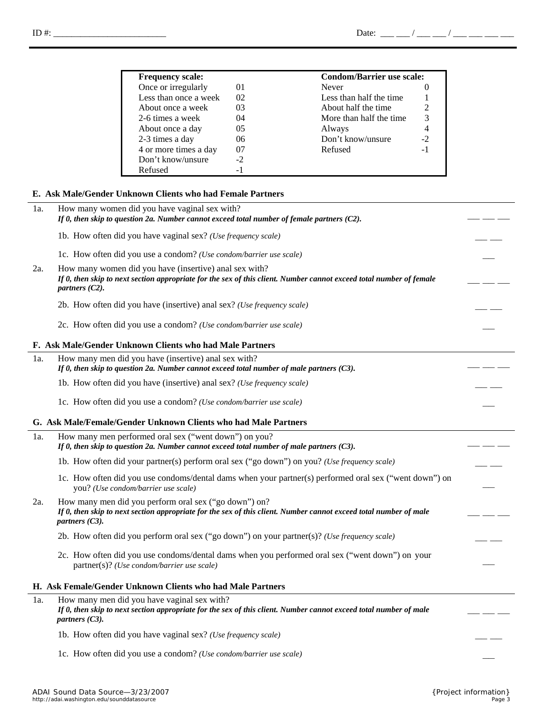| <b>Frequency scale:</b> |         |                          | <b>Condom/Barrier use scale:</b> |  |
|-------------------------|---------|--------------------------|----------------------------------|--|
| Once or irregularly     | $^{01}$ | Never                    |                                  |  |
| Less than once a week   | 02      | Less than half the time  |                                  |  |
| About once a week       | 03      | About half the time      |                                  |  |
| 2-6 times a week        | 04      | More than half the time. | 3                                |  |
| About once a day        | 05      | Always                   |                                  |  |
| 2-3 times a day         | 06      | Don't know/unsure        | $-2$                             |  |
| 4 or more times a day   | 07      | Refused                  | - 1                              |  |
| Don't know/unsure       | -2      |                          |                                  |  |
| Refused                 |         |                          |                                  |  |

#### **E. Ask Male/Gender Unknown Clients who had Female Partners**

| 1a. | How many women did you have vaginal sex with?<br>If 0, then skip to question 2a. Number cannot exceed total number of female partners $(C2)$ .                                                     |  |
|-----|----------------------------------------------------------------------------------------------------------------------------------------------------------------------------------------------------|--|
|     | 1b. How often did you have vaginal sex? (Use frequency scale)                                                                                                                                      |  |
|     | 1c. How often did you use a condom? (Use condom/barrier use scale)                                                                                                                                 |  |
| 2a. | How many women did you have (insertive) anal sex with?<br>If 0, then skip to next section appropriate for the sex of this client. Number cannot exceed total number of female<br>partners $(C2)$ . |  |
|     | 2b. How often did you have (insertive) anal sex? (Use frequency scale)                                                                                                                             |  |
|     | 2c. How often did you use a condom? (Use condom/barrier use scale)                                                                                                                                 |  |
|     | F. Ask Male/Gender Unknown Clients who had Male Partners                                                                                                                                           |  |
| 1a. | How many men did you have (insertive) anal sex with?<br>If 0, then skip to question 2a. Number cannot exceed total number of male partners $(C3)$ .                                                |  |
|     | 1b. How often did you have (insertive) anal sex? (Use frequency scale)                                                                                                                             |  |
|     | 1c. How often did you use a condom? (Use condom/barrier use scale)                                                                                                                                 |  |
|     | G. Ask Male/Female/Gender Unknown Clients who had Male Partners                                                                                                                                    |  |
| 1a. | How many men performed oral sex ("went down") on you?<br>If 0, then skip to question 2a. Number cannot exceed total number of male partners $(C3)$ .                                               |  |
|     | 1b. How often did your partner(s) perform oral sex ("go down") on you? (Use frequency scale)                                                                                                       |  |
|     | 1c. How often did you use condoms/dental dams when your partner(s) performed oral sex ("went down") on<br>you? (Use condom/barrier use scale)                                                      |  |
| 2a. | How many men did you perform oral sex ("go down") on?<br>If 0, then skip to next section appropriate for the sex of this client. Number cannot exceed total number of male<br>partners $(C3)$ .    |  |
|     | 2b. How often did you perform oral sex ("go down") on your partner(s)? (Use frequency scale)                                                                                                       |  |
|     | 2c. How often did you use condoms/dental dams when you performed oral sex ("went down") on your<br>partner(s)? (Use condom/barrier use scale)                                                      |  |
|     | H. Ask Female/Gender Unknown Clients who had Male Partners                                                                                                                                         |  |
| 1a. | How many men did you have vaginal sex with?<br>If 0, then skip to next section appropriate for the sex of this client. Number cannot exceed total number of male<br>partners $(C3)$ .              |  |
|     | 1b. How often did you have vaginal sex? (Use frequency scale)                                                                                                                                      |  |
|     | 1c. How often did you use a condom? (Use condom/barrier use scale)                                                                                                                                 |  |